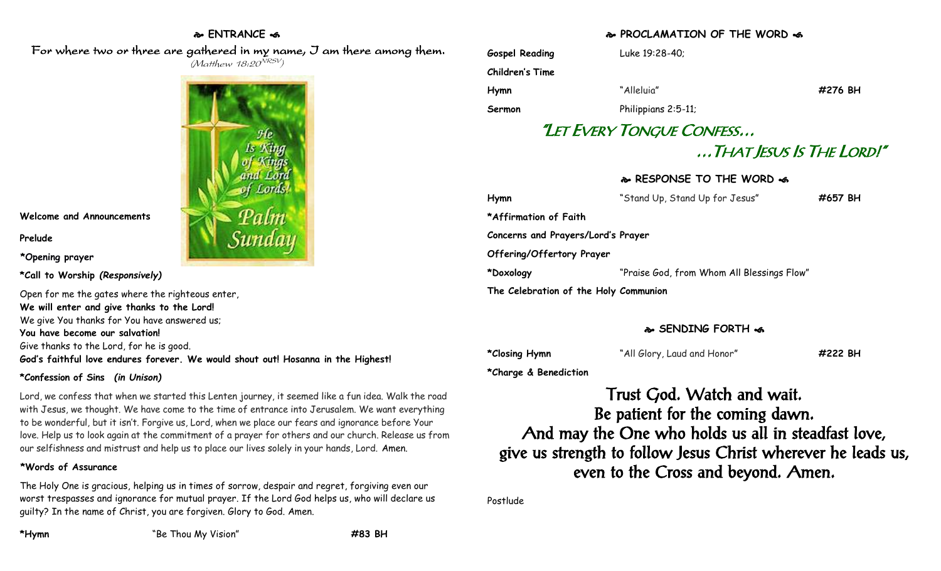# **ENTRANCE**

 For where two or three are gathered in my name, I am there among them.  $(M$ atthew 18:20 $^{VRSV})$ 



**Welcome and Announcements**

**Prelude**

**\*Opening prayer**

**\*Call to Worship** *(Responsively)*

Open for me the gates where the righteous enter, **We will enter and give thanks to the Lord!** We give You thanks for You have answered us; **You have become our salvation!** Give thanks to the Lord, for he is good. **God's faithful love endures forever. We would shout out! Hosanna in the Highest!**

# **\*Confession of Sins** *(in Unison)*

Lord, we confess that when we started this Lenten journey, it seemed like a fun idea. Walk the road with Jesus, we thought. We have come to the time of entrance into Jerusalem. We want everything to be wonderful, but it isn't. Forgive us, Lord, when we place our fears and ignorance before Your love. Help us to look again at the commitment of a prayer for others and our church. Release us from our selfishness and mistrust and help us to place our lives solely in your hands, Lord. Amen.

# **\*Words of Assurance**

The Holy One is gracious, helping us in times of sorrow, despair and regret, forgiving even our worst trespasses and ignorance for mutual prayer. If the Lord God helps us, who will declare us guilty? In the name of Christ, you are forgiven. Glory to God. Amen.

# **PROCLAMATION OF THE WORD**

| <b>Gospel Reading</b>                 | Luke 19:28-40;                             |                          |
|---------------------------------------|--------------------------------------------|--------------------------|
| Children's Time                       |                                            |                          |
| Hymn                                  | "Alleluia"                                 | #276 BH                  |
| Sermon                                | Philippians 2:5-11;                        |                          |
|                                       | "LET EVERY TONGUE CONFESS                  |                          |
|                                       |                                            | That Jesus Is The Lord!" |
|                                       | & RESPONSE TO THE WORD &                   |                          |
| Hymn                                  | "Stand Up, Stand Up for Jesus"             | #657 BH                  |
| *Affirmation of Faith                 |                                            |                          |
| Concerns and Prayers/Lord's Prayer    |                                            |                          |
| Offering/Offertory Prayer             |                                            |                          |
| *Doxology                             | "Praise God, from Whom All Blessings Flow" |                          |
| The Celebration of the Holy Communion |                                            |                          |
|                                       |                                            |                          |

# **SENDING FORTH**

**\*Closing Hymn** "All Glory, Laud and Honor" **#222 BH**

**\*Charge & Benediction**

Trust God. Watch and wait. Be patient for the coming dawn. And may the One who holds us all in steadfast love, give us strength to follow Jesus Christ wherever he leads us, even to the Cross and beyond. Amen.

Postlude